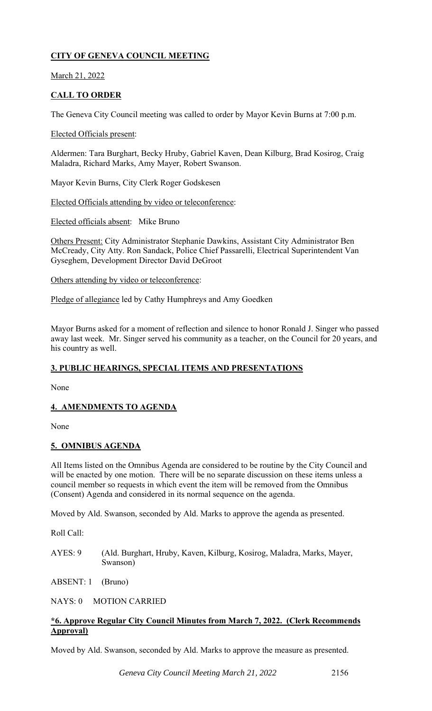# **CITY OF GENEVA COUNCIL MEETING**

March 21, 2022

# **CALL TO ORDER**

The Geneva City Council meeting was called to order by Mayor Kevin Burns at 7:00 p.m.

### Elected Officials present:

Aldermen: Tara Burghart, Becky Hruby, Gabriel Kaven, Dean Kilburg, Brad Kosirog, Craig Maladra, Richard Marks, Amy Mayer, Robert Swanson.

Mayor Kevin Burns, City Clerk Roger Godskesen

Elected Officials attending by video or teleconference:

Elected officials absent: Mike Bruno

Others Present: City Administrator Stephanie Dawkins, Assistant City Administrator Ben McCready, City Atty. Ron Sandack, Police Chief Passarelli, Electrical Superintendent Van Gyseghem, Development Director David DeGroot

Others attending by video or teleconference:

Pledge of allegiance led by Cathy Humphreys and Amy Goedken

Mayor Burns asked for a moment of reflection and silence to honor Ronald J. Singer who passed away last week. Mr. Singer served his community as a teacher, on the Council for 20 years, and his country as well.

# **3. PUBLIC HEARINGS, SPECIAL ITEMS AND PRESENTATIONS**

None

# **4. AMENDMENTS TO AGENDA**

None

# **5. OMNIBUS AGENDA**

All Items listed on the Omnibus Agenda are considered to be routine by the City Council and will be enacted by one motion. There will be no separate discussion on these items unless a council member so requests in which event the item will be removed from the Omnibus (Consent) Agenda and considered in its normal sequence on the agenda.

Moved by Ald. Swanson, seconded by Ald. Marks to approve the agenda as presented.

Roll Call:

AYES: 9 (Ald. Burghart, Hruby, Kaven, Kilburg, Kosirog, Maladra, Marks, Mayer, Swanson)

ABSENT: 1 (Bruno)

NAYS: 0 MOTION CARRIED

# **\*6. Approve Regular City Council Minutes from March 7, 2022. (Clerk Recommends Approval)**

Moved by Ald. Swanson, seconded by Ald. Marks to approve the measure as presented.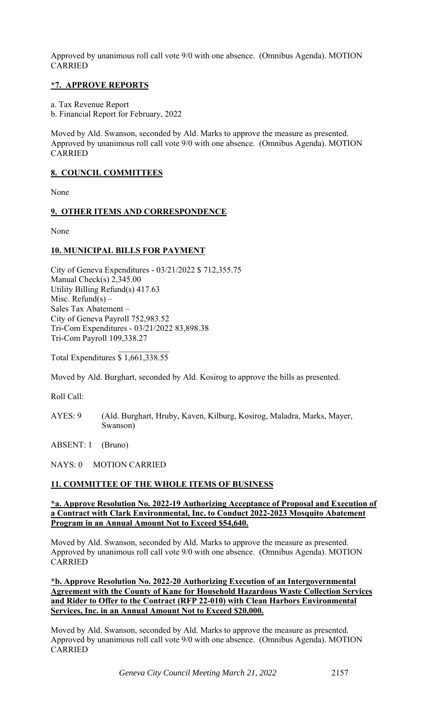Approved by unanimous roll call vote 9/0 with one absence. (Omnibus Agenda). MOTION CARRIED

# **\*7. APPROVE REPORTS**

a. Tax Revenue Report

b. Financial Report for February, 2022

Moved by Ald. Swanson, seconded by Ald. Marks to approve the measure as presented. Approved by unanimous roll call vote 9/0 with one absence. (Omnibus Agenda). MOTION CARRIED

# **8. COUNCIL COMMITTEES**

None

### **9. OTHER ITEMS AND CORRESPONDENCE**

None

# **10. MUNICIPAL BILLS FOR PAYMENT**

City of Geneva Expenditures - 03/21/2022 \$ 712,355.75 Manual Check(s) 2,345.00 Utility Billing Refund(s) 417.63 Misc. Refund(s)  $-$ Sales Tax Abatement – City of Geneva Payroll 752,983.52 Tri-Com Expenditures - 03/21/2022 83,898.38 Tri-Com Payroll 109,338.27

Total Expenditures \$ 1,661,338.55

Moved by Ald. Burghart, seconded by Ald. Kosirog to approve the bills as presented.

Roll Call:

AYES: 9 (Ald. Burghart, Hruby, Kaven, Kilburg, Kosirog, Maladra, Marks, Mayer, Swanson)

ABSENT: 1 (Bruno)

NAYS: 0 MOTION CARRIED

# **11. COMMITTEE OF THE WHOLE ITEMS OF BUSINESS**

#### **\*a. Approve Resolution No. 2022-19 Authorizing Acceptance of Proposal and Execution of a Contract with Clark Environmental, Inc. to Conduct 2022-2023 Mosquito Abatement Program in an Annual Amount Not to Exceed \$54,640.**

Moved by Ald. Swanson, seconded by Ald. Marks to approve the measure as presented. Approved by unanimous roll call vote 9/0 with one absence. (Omnibus Agenda). MOTION CARRIED

**\*b. Approve Resolution No. 2022-20 Authorizing Execution of an Intergovernmental Agreement with the County of Kane for Household Hazardous Waste Collection Services and Rider to Offer to the Contract (RFP 22-010) with Clean Harbors Environmental Services, Inc. in an Annual Amount Not to Exceed \$20,000.** 

Moved by Ald. Swanson, seconded by Ald. Marks to approve the measure as presented. Approved by unanimous roll call vote 9/0 with one absence. (Omnibus Agenda). MOTION CARRIED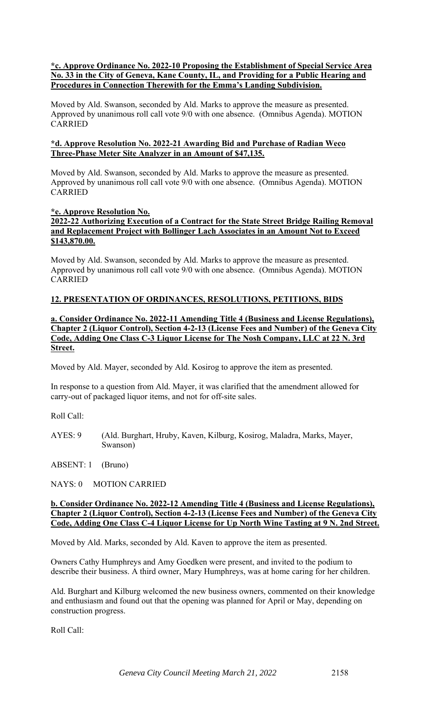### **\*c. Approve Ordinance No. 2022-10 Proposing the Establishment of Special Service Area No. 33 in the City of Geneva, Kane County, IL, and Providing for a Public Hearing and Procedures in Connection Therewith for the Emma's Landing Subdivision.**

Moved by Ald. Swanson, seconded by Ald. Marks to approve the measure as presented. Approved by unanimous roll call vote 9/0 with one absence. (Omnibus Agenda). MOTION CARRIED

#### **\*d. Approve Resolution No. 2022-21 Awarding Bid and Purchase of Radian Weco Three-Phase Meter Site Analyzer in an Amount of \$47,135.**

Moved by Ald. Swanson, seconded by Ald. Marks to approve the measure as presented. Approved by unanimous roll call vote 9/0 with one absence. (Omnibus Agenda). MOTION CARRIED

# **\*e. Approve Resolution No.**

# **2022-22 Authorizing Execution of a Contract for the State Street Bridge Railing Removal and Replacement Project with Bollinger Lach Associates in an Amount Not to Exceed \$143,870.00.**

Moved by Ald. Swanson, seconded by Ald. Marks to approve the measure as presented. Approved by unanimous roll call vote 9/0 with one absence. (Omnibus Agenda). MOTION CARRIED

# **12. PRESENTATION OF ORDINANCES, RESOLUTIONS, PETITIONS, BIDS**

#### **a. Consider Ordinance No. 2022-11 Amending Title 4 (Business and License Regulations), Chapter 2 (Liquor Control), Section 4-2-13 (License Fees and Number) of the Geneva City Code, Adding One Class C-3 Liquor License for The Nosh Company, LLC at 22 N. 3rd Street.**

Moved by Ald. Mayer, seconded by Ald. Kosirog to approve the item as presented.

In response to a question from Ald. Mayer, it was clarified that the amendment allowed for carry-out of packaged liquor items, and not for off-site sales.

Roll Call:

AYES: 9 (Ald. Burghart, Hruby, Kaven, Kilburg, Kosirog, Maladra, Marks, Mayer, Swanson)

ABSENT: 1 (Bruno)

NAYS: 0 MOTION CARRIED

#### **b. Consider Ordinance No. 2022-12 Amending Title 4 (Business and License Regulations), Chapter 2 (Liquor Control), Section 4-2-13 (License Fees and Number) of the Geneva City Code, Adding One Class C-4 Liquor License for Up North Wine Tasting at 9 N. 2nd Street.**

Moved by Ald. Marks, seconded by Ald. Kaven to approve the item as presented.

Owners Cathy Humphreys and Amy Goedken were present, and invited to the podium to describe their business. A third owner, Mary Humphreys, was at home caring for her children.

Ald. Burghart and Kilburg welcomed the new business owners, commented on their knowledge and enthusiasm and found out that the opening was planned for April or May, depending on construction progress.

Roll Call: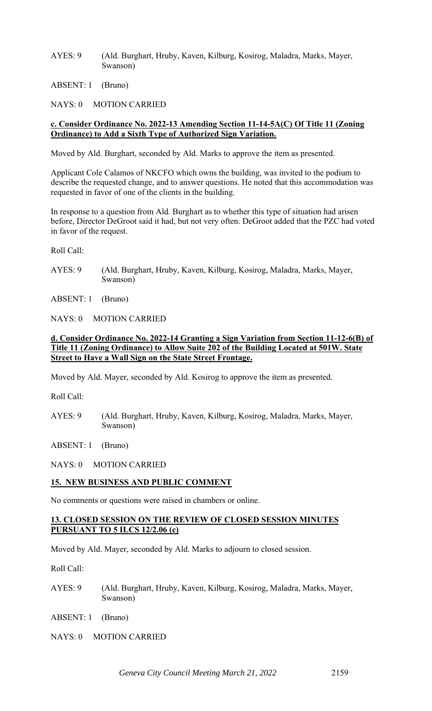AYES: 9 (Ald. Burghart, Hruby, Kaven, Kilburg, Kosirog, Maladra, Marks, Mayer, Swanson)

ABSENT: 1 (Bruno)

NAYS: 0 MOTION CARRIED

#### **c. Consider Ordinance No. 2022-13 Amending Section 11-14-5A(C) Of Title 11 (Zoning Ordinance) to Add a Sixth Type of Authorized Sign Variation.**

Moved by Ald. Burghart, seconded by Ald. Marks to approve the item as presented.

Applicant Cole Calamos of NKCFO which owns the building, was invited to the podium to describe the requested change, and to answer questions. He noted that this accommodation was requested in favor of one of the clients in the building.

In response to a question from Ald. Burghart as to whether this type of situation had arisen before, Director DeGroot said it had, but not very often. DeGroot added that the PZC had voted in favor of the request.

Roll Call:

AYES: 9 (Ald. Burghart, Hruby, Kaven, Kilburg, Kosirog, Maladra, Marks, Mayer, Swanson)

ABSENT: 1 (Bruno)

NAYS: 0 MOTION CARRIED

#### **d. Consider Ordinance No. 2022-14 Granting a Sign Variation from Section 11-12-6(B) of Title 11 (Zoning Ordinance) to Allow Suite 202 of the Building Located at 501W. State Street to Have a Wall Sign on the State Street Frontage.**

Moved by Ald. Mayer, seconded by Ald. Kosirog to approve the item as presented.

Roll Call:

AYES: 9 (Ald. Burghart, Hruby, Kaven, Kilburg, Kosirog, Maladra, Marks, Mayer, Swanson)

ABSENT: 1 (Bruno)

NAYS: 0 MOTION CARRIED

#### **15. NEW BUSINESS AND PUBLIC COMMENT**

No comments or questions were raised in chambers or online.

### **13. CLOSED SESSION ON THE REVIEW OF CLOSED SESSION MINUTES PURSUANT TO 5 ILCS 12/2.06 (c)**

Moved by Ald. Mayer, seconded by Ald. Marks to adjourn to closed session.

Roll Call:

AYES: 9 (Ald. Burghart, Hruby, Kaven, Kilburg, Kosirog, Maladra, Marks, Mayer, Swanson)

ABSENT: 1 (Bruno)

NAYS: 0 MOTION CARRIED